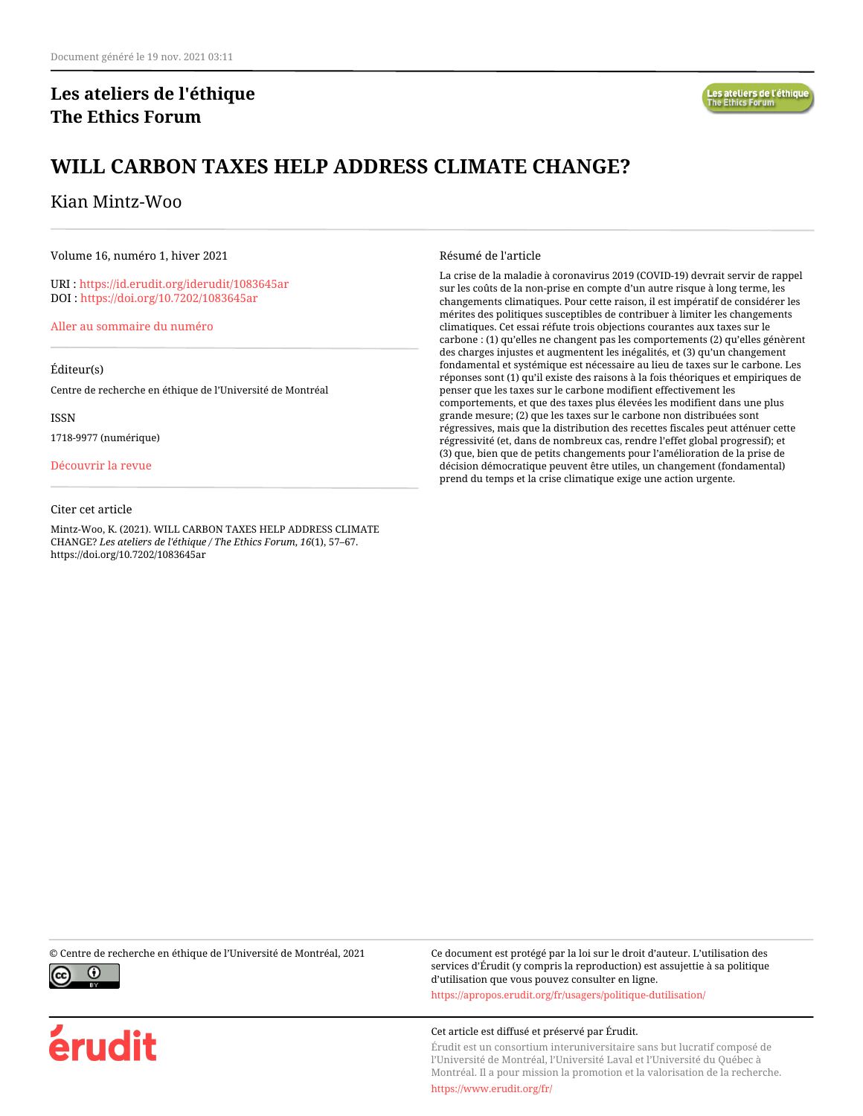# **Les ateliers de l'éthique The Ethics Forum**

# **WILL CARBON TAXES HELP ADDRESS CLIMATE CHANGE?**

#### Kian Mintz-Woo

Volume 16, numéro 1, hiver 2021

URI :<https://id.erudit.org/iderudit/1083645ar> DOI :<https://doi.org/10.7202/1083645ar>

[Aller au sommaire du numéro](https://www.erudit.org/fr/revues/ateliers/2021-v16-n1-ateliers06539/)

#### Éditeur(s)

Centre de recherche en éthique de l'Université de Montréal

ISSN

1718-9977 (numérique)

[Découvrir la revue](https://www.erudit.org/fr/revues/ateliers/)

#### Citer cet article

Mintz-Woo, K. (2021). WILL CARBON TAXES HELP ADDRESS CLIMATE CHANGE? *Les ateliers de l'éthique / The Ethics Forum*, *16*(1), 57–67. https://doi.org/10.7202/1083645ar

Résumé de l'article

La crise de la maladie à coronavirus 2019 (COVID-19) devrait servir de rappel sur les coûts de la non-prise en compte d'un autre risque à long terme, les changements climatiques. Pour cette raison, il est impératif de considérer les mérites des politiques susceptibles de contribuer à limiter les changements climatiques. Cet essai réfute trois objections courantes aux taxes sur le carbone : (1) qu'elles ne changent pas les comportements (2) qu'elles génèrent des charges injustes et augmentent les inégalités, et (3) qu'un changement fondamental et systémique est nécessaire au lieu de taxes sur le carbone. Les réponses sont (1) qu'il existe des raisons à la fois théoriques et empiriques de penser que les taxes sur le carbone modifient effectivement les comportements, et que des taxes plus élevées les modifient dans une plus grande mesure; (2) que les taxes sur le carbone non distribuées sont régressives, mais que la distribution des recettes fiscales peut atténuer cette régressivité (et, dans de nombreux cas, rendre l'effet global progressif); et (3) que, bien que de petits changements pour l'amélioration de la prise de décision démocratique peuvent être utiles, un changement (fondamental) prend du temps et la crise climatique exige une action urgente.

© Centre de recherche en éthique de l'Université de Montréal, 2021 Ce document est protégé par la loi sur le droit d'auteur. L'utilisation des



érudit

services d'Érudit (y compris la reproduction) est assujettie à sa politique d'utilisation que vous pouvez consulter en ligne. <https://apropos.erudit.org/fr/usagers/politique-dutilisation/>

Cet article est diffusé et préservé par Érudit.

Érudit est un consortium interuniversitaire sans but lucratif composé de l'Université de Montréal, l'Université Laval et l'Université du Québec à Montréal. Il a pour mission la promotion et la valorisation de la recherche.

<https://www.erudit.org/fr/>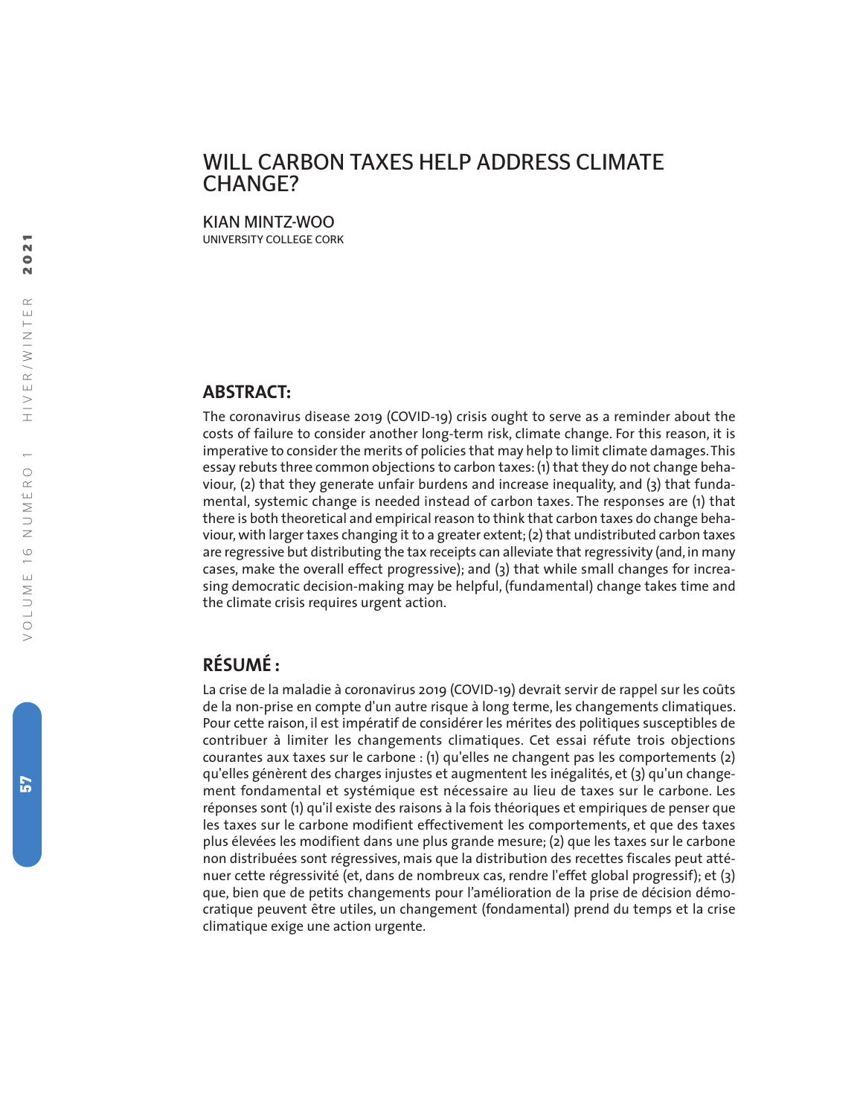# WILL CARBON TAXES HELP ADDRESS CLIMATE CHANGE?

KIAN MINTZ-WOO UNIVERSITY COLLEGE CORK

#### **ABSTRACT:**

The coronavirus disease 2019 (COVID-19) crisis ought to serve as a reminder about the costs of failure to consider another long-term risk, climate change. For this reason, it is imperative to consider the merits of policies that may help to limit climate damages.This essay rebuts three common objections to carbon taxes: (1) that they do not change behaviour, (2) that they generate unfair burdens and increase inequality, and (3) that fundamental, systemic change is needed instead of carbon taxes. The responses are (1) that there is both theoretical and empirical reason to think that carbon taxes do change behaviour, with larger taxes changing it to a greater extent; (2) that undistributed carbon taxes are regressive but distributing the tax receipts can alleviate that regressivity (and, in many cases, make the overall effect progressive); and (3) that while small changes for increasing democratic decision-making may be helpful, (fundamental) change takes time and the climate crisis requires urgent action.

# **RÉSUMÉ :**

La crise de la maladie à coronavirus 2019 (COVID-19) devrait servir de rappel sur les coûts de la non-prise en compte d'un autre risque à long terme, les changements climatiques. Pour cette raison, il est impératif de considérer les mérites des politiques susceptibles de contribuer à limiter les changements climatiques. Cet essai réfute trois objections courantes aux taxes sur le carbone : (1) qu'elles ne changent pas les comportements (2) qu'elles génèrent des charges injustes et augmentent les inégalités, et (3) qu'un changement fondamental et systémique est nécessaire au lieu de taxes sur le carbone. Les réponses sont (1) qu'il existe des raisons à la fois théoriques et empiriques de penser que les taxes sur le carbone modifient effectivement les comportements, et que des taxes plus élevées les modifient dans une plus grande mesure; (2) que les taxes sur le carbone non distribuées sont régressives, mais que la distribution des recettes fiscales peut atténuer cette régressivité (et, dans de nombreux cas, rendre l'effet global progressif); et (3) que, bien que de petits changements pour l'amélioration de la prise de décision démocratique peuvent être utiles, un changement (fondamental) prend du temps et la crise climatique exige une action urgente.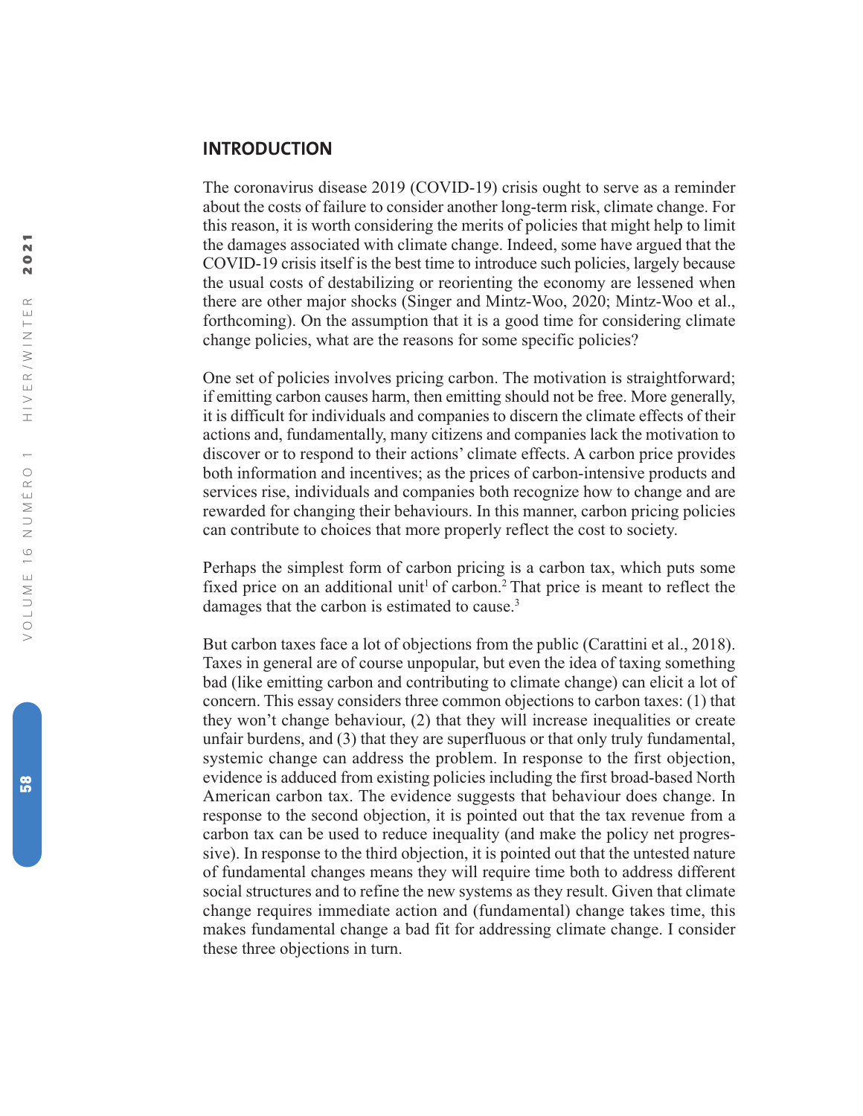#### **INTRODUCTION**

The coronavirus disease 2019 (COVID-19) crisis ought to serve as a reminder about the costs of failure to consider another long-term risk, climate change. For this reason, it is worth considering the merits of policies that might help to limit the damages associated with climate change. Indeed, some have argued that the COVID-19 crisis itself is the best time to introduce such policies, largely because the usual costs of destabilizing or reorienting the economy are lessened when there are other major shocks (Singer and Mintz-Woo, 2020; Mintz-Woo et al., forthcoming). On the assumption that it is a good time for considering climate change policies, what are the reasons for some specific policies?

One set of policies involves pricing carbon. The motivation is straightforward; if emitting carbon causes harm, then emitting should not be free. More generally, it is difficult for individuals and companies to discern the climate effects of their actions and, fundamentally, many citizens and companies lack the motivation to discover or to respond to their actions' climate effects. A carbon price provides both information and incentives; as the prices of carbon-intensive products and services rise, individuals and companies both recognize how to change and are rewarded for changing their behaviours. In this manner, carbon pricing policies can contribute to choices that more properly reflect the cost to society.

Perhaps the simplest form of carbon pricing is a carbon tax, which puts some fixed price on an additional unit<sup>1</sup> of carbon.<sup>2</sup> That price is meant to reflect the damages that the carbon is estimated to cause. 3

But carbon taxes face a lot of objections from the public (Carattini et al., 2018). Taxes in general are of course unpopular, but even the idea of taxing something bad (like emitting carbon and contributing to climate change) can elicit a lot of concern. This essay considers three common objections to carbon taxes: (1) that they won't change behaviour, (2) that they will increase inequalities or create unfair burdens, and (3) that they are superfluous or that only truly fundamental, systemic change can address the problem. In response to the first objection, evidence is adduced from existing policies including the first broad-based North American carbon tax. The evidence suggests that behaviour does change. In response to the second objection, it is pointed out that the tax revenue from a carbon tax can be used to reduce inequality (and make the policy net progressive). In response to the third objection, it is pointed out that the untested nature of fundamental changes means they will require time both to address different social structures and to refine the new systems as they result. Given that climate change requires immediate action and (fundamental) change takes time, this makes fundamental change a bad fit for addressing climate change. I consider these three objections in turn.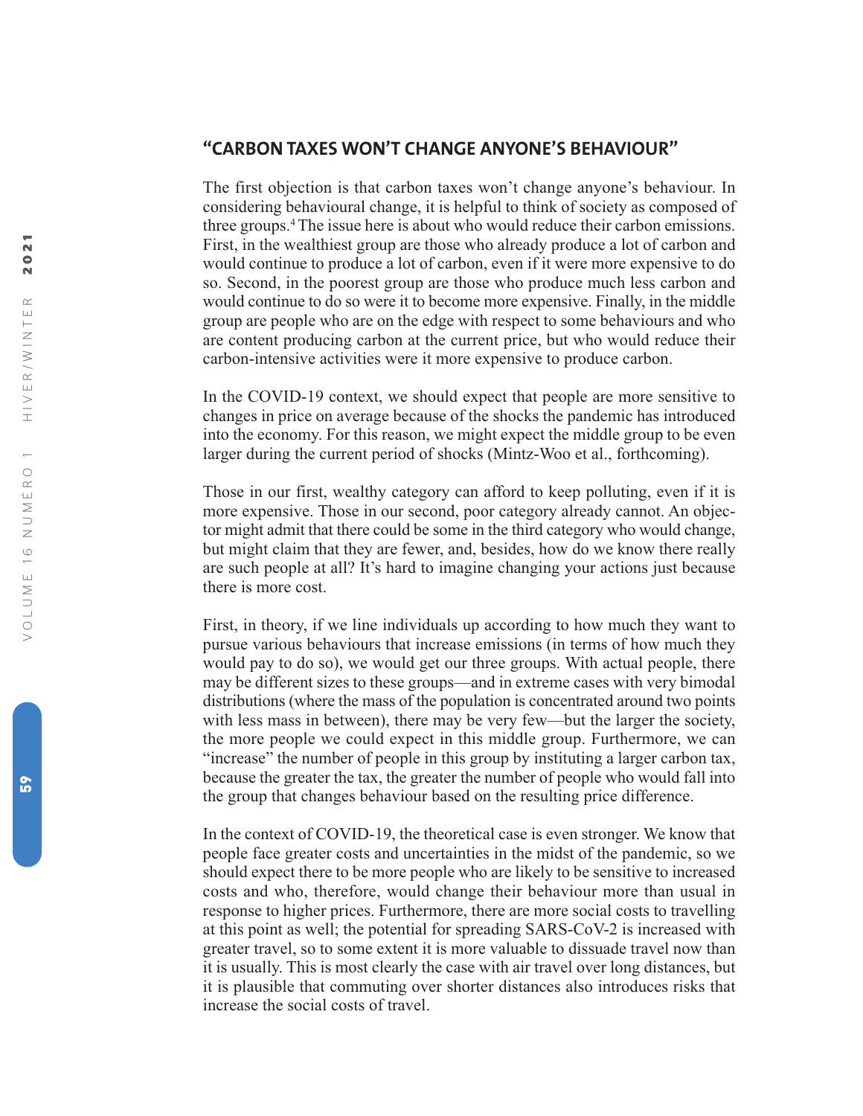### **"CARBON TAXES WON'T CHANGE ANYONE'S BEHAVIOUR"**

The first objection is that carbon taxes won't change anyone's behaviour. In considering behavioural change, it is helpful to think of society as composed of three groups. 4The issue here is about who would reduce their carbon emissions. First, in the wealthiest group are those who already produce a lot of carbon and would continue to produce a lot of carbon, even if it were more expensive to do so. Second, in the poorest group are those who produce much less carbon and would continue to do so were it to become more expensive. Finally, in the middle group are people who are on the edge with respect to some behaviours and who are content producing carbon at the current price, but who would reduce their carbon-intensive activities were it more expensive to produce carbon.

In the COVID-19 context, we should expect that people are more sensitive to changes in price on average because of the shocks the pandemic has introduced into the economy. For this reason, we might expect the middle group to be even larger during the current period of shocks (Mintz-Woo et al., forthcoming).

Those in our first, wealthy category can afford to keep polluting, even if it is more expensive. Those in our second, poor category already cannot. An objector might admit that there could be some in the third category who would change, but might claim that they are fewer, and, besides, how do we know there really are such people at all? It's hard to imagine changing your actions just because there is more cost.

First, in theory, if we line individuals up according to how much they want to pursue various behaviours that increase emissions (in terms of how much they would pay to do so), we would get our three groups. With actual people, there may be different sizes to these groups—and in extreme cases with very bimodal distributions (where the mass of the population is concentrated around two points with less mass in between), there may be very few—but the larger the society, the more people we could expect in this middle group. Furthermore, we can "increase" the number of people in this group by instituting a larger carbon tax, because the greater the tax, the greater the number of people who would fall into the group that changes behaviour based on the resulting price difference.

In the context of COVID-19, the theoretical case is even stronger. We know that people face greater costs and uncertainties in the midst of the pandemic, so we should expect there to be more people who are likely to be sensitive to increased costs and who, therefore, would change their behaviour more than usual in response to higher prices. Furthermore, there are more social costs to travelling at this point as well; the potential for spreading SARS-CoV-2 is increased with greater travel, so to some extent it is more valuable to dissuade travel now than it is usually. This is most clearly the case with air travel over long distances, but it is plausible that commuting over shorter distances also introduces risks that increase the social costs of travel.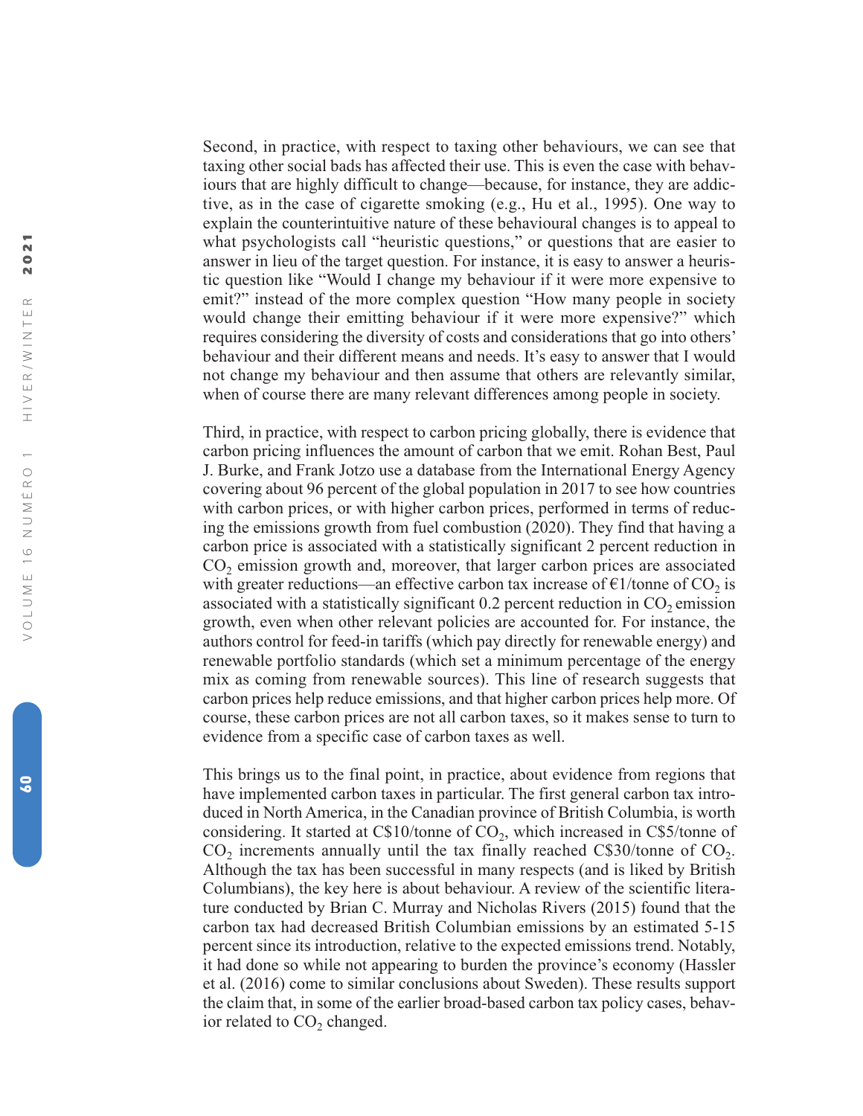Second, in practice, with respect to taxing other behaviours, we can see that taxing other social bads has affected their use. This is even the case with behaviours that are highly difficult to change—because, for instance, they are addictive, as in the case of cigarette smoking (e.g., Hu et al., 1995). One way to explain the counterintuitive nature of these behavioural changes is to appeal to what psychologists call "heuristic questions," or questions that are easier to answer in lieu of the target question. For instance, it is easy to answer a heuristic question like "Would I change my behaviour if it were more expensive to emit?" instead of the more complex question "How many people in society would change their emitting behaviour if it were more expensive?" which requires considering the diversity of costs and considerations that go into others' behaviour and their different means and needs. It's easy to answer that I would not change my behaviour and then assume that others are relevantly similar, when of course there are many relevant differences among people in society.

Third, in practice, with respect to carbon pricing globally, there is evidence that carbon pricing influences the amount of carbon that we emit. Rohan Best, Paul J. Burke, and Frank Jotzo use a database from the International Energy Agency covering about 96 percent of the global population in 2017 to see how countries with carbon prices, or with higher carbon prices, performed in terms of reducing the emissions growth from fuel combustion (2020). They find that having a carbon price is associated with a statistically significant 2 percent reduction in CO <sup>2</sup> emission growth and, moreover, that larger carbon prices are associated with greater reductions—an effective carbon tax increase of  $\epsilon$ 1/tonne of CO<sub>2</sub> is associated with a statistically significant  $0.2$  percent reduction in  $CO<sub>2</sub>$  emission growth, even when other relevant policies are accounted for. For instance, the authors control for feed-in tariffs (which pay directly for renewable energy) and renewable portfolio standards (which set a minimum percentage of the energy mix as coming from renewable sources). This line of research suggests that carbon prices help reduce emissions, and that higher carbon prices help more. Of course, these carbon prices are not all carbon taxes, so it makes sense to turn to evidence from a specific case of carbon taxes as well.

This brings us to the final point, in practice, about evidence from regions that have implemented carbon taxes in particular. The first general carbon tax introduced in North America, in the Canadian province of British Columbia, is worth considering. It started at C\$10/tonne of CO 2, which increased in C\$5/tonne of  $CO<sub>2</sub>$  increments annually until the tax finally reached C\$30/tonne of  $CO<sub>2</sub>$ . Although the tax has been successful in many respects (and is liked by British Columbians), the key here is about behaviour. A review of the scientific literature conducted by Brian C. Murray and Nicholas Rivers (2015) found that the carbon tax had decreased British Columbian emissions by an estimated 5-15 percent since its introduction, relative to the expected emissions trend. Notably, it had done so while not appearing to burden the province's economy (Hassler et al. (2016) come to similar conclusions about Sweden). These results support the claim that, in some of the earlier broad-based carbon tax policy cases, behavior related to  $CO<sub>2</sub>$  changed.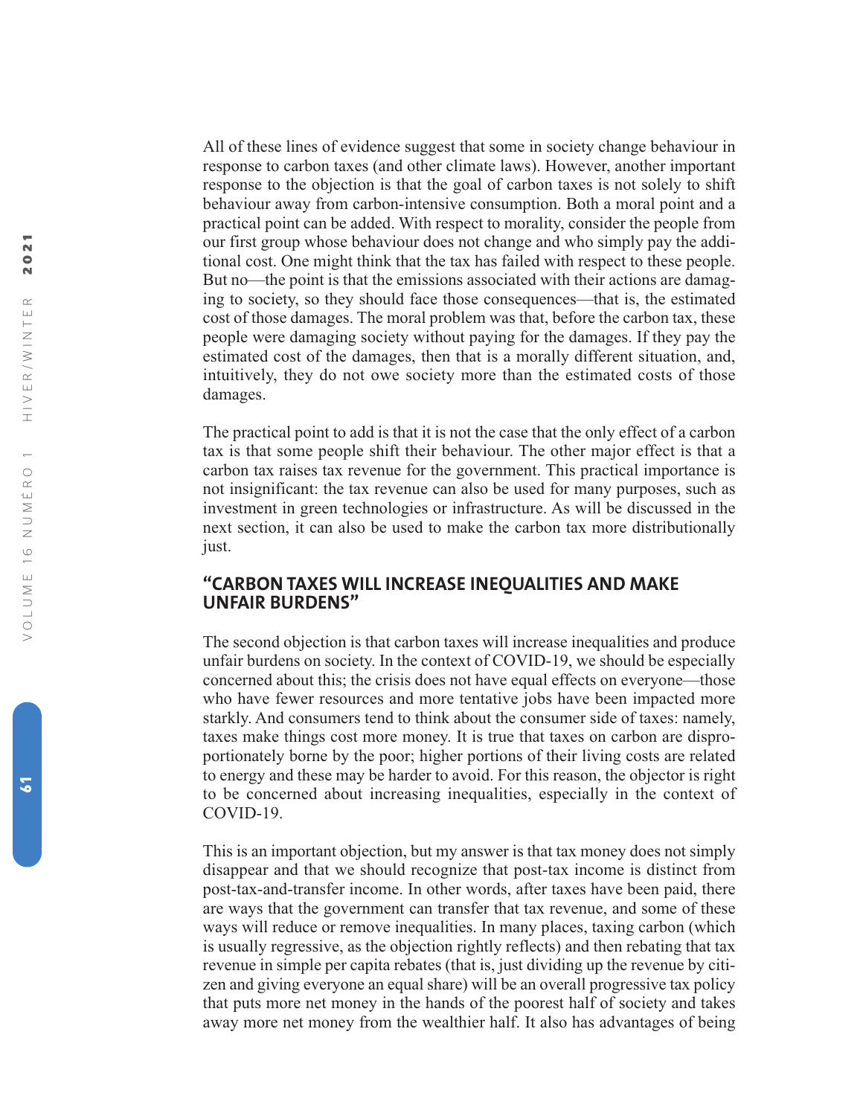All of these lines of evidence suggest that some in society change behaviour in response to carbon taxes (and other climate laws). However, another important response to the objection is that the goal of carbon taxes is not solely to shift behaviour away from carbon-intensive consumption. Both a moral point and a practical point can be added. With respect to morality, consider the people from our first group whose behaviour does not change and who simply pay the additional cost. One might think that the tax has failed with respect to these people. But no—the point is that the emissions associated with their actions are damaging to society, so they should face those consequences—that is, the estimated cost of those damages. The moral problem was that, before the carbon tax, these people were damaging society without paying for the damages. If they pay the estimated cost of the damages, then that is a morally different situation, and, intuitively, they do not owe society more than the estimated costs of those damages.

The practical point to add is that it is not the case that the only effect of a carbon tax is that some people shift their behaviour. The other major effect is that a carbon tax raises tax revenue for the government. This practical importance is not insignificant: the tax revenue can also be used for many purposes, such as investment in green technologies or infrastructure. As will be discussed in the next section, it can also be used to make the carbon tax more distributionally just.

## **"CARBON TAXES WILL INCREASE INEQUALITIES AND MAKE UNFAIR BURDENS"**

The second objection is that carbon taxes will increase inequalities and produce unfair burdens on society. In the context of COVID-19, we should be especially concerned about this; the crisis does not have equal effects on everyone—those who have fewer resources and more tentative jobs have been impacted more starkly. And consumers tend to think about the consumer side of taxes: namely, taxes make things cost more money. It is true that taxes on carbon are disproportionately borne by the poor; higher portions of their living costs are related to energy and these may be harder to avoid. For this reason, the objector is right to be concerned about increasing inequalities, especially in the context of COVID-19.

This is an important objection, but my answer is that tax money does not simply disappear and that we should recognize that post-tax income is distinct from post-tax-and-transfer income. In other words, after taxes have been paid, there are ways that the government can transfer that tax revenue, and some of these ways will reduce or remove inequalities. In many places, taxing carbon (which is usually regressive, as the objection rightly reflects) and then rebating that tax revenue in simple per capita rebates (that is, just dividing up the revenue by citizen and giving everyone an equal share) will be an overall progressive tax policy that puts more net money in the hands of the poorest half of society and takes away more net money from the wealthier half. It also has advantages of being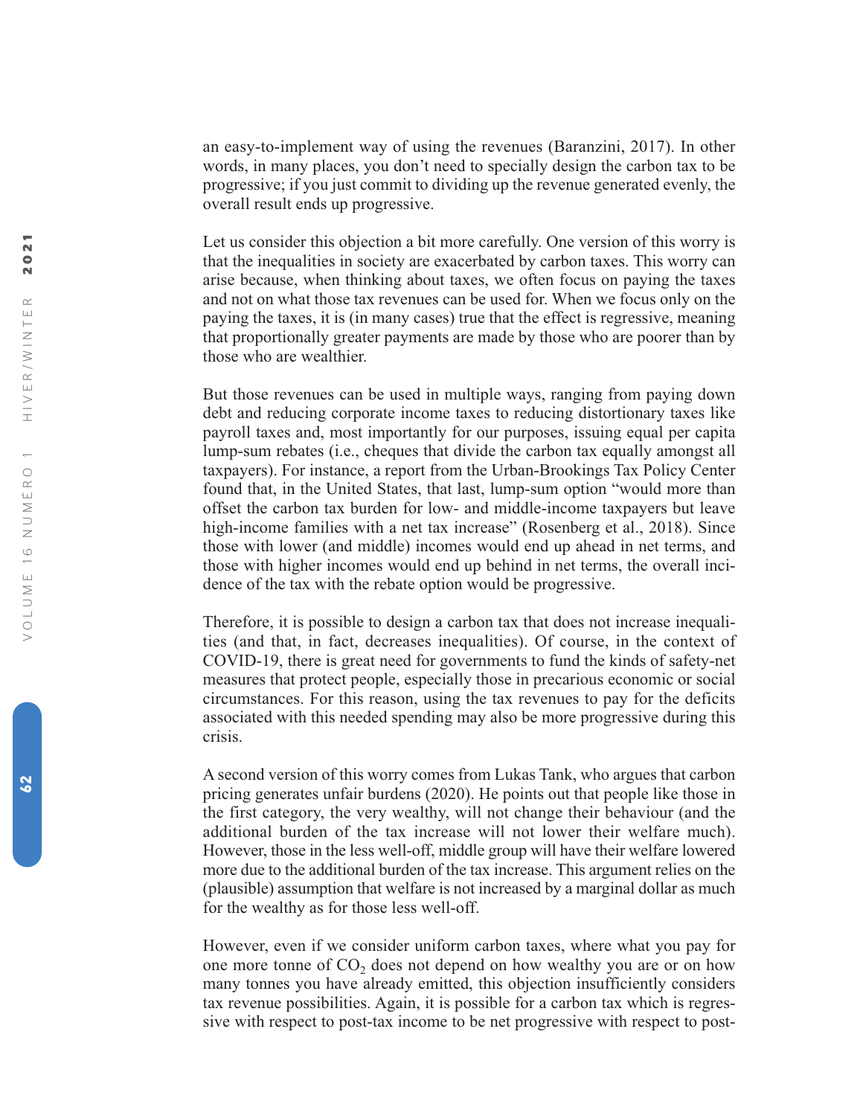an easy-to-implement way of using the revenues (Baranzini, 2017). In other words, in many places, you don't need to specially design the carbon tax to be progressive; if you just commit to dividing up the revenue generated evenly, the overall result ends up progressive.

Let us consider this objection a bit more carefully. One version of this worry is that the inequalities in society are exacerbated by carbon taxes. This worry can arise because, when thinking about taxes, we often focus on paying the taxes and not on what those tax revenues can be used for. When we focus only on the paying the taxes, it is (in many cases) true that the effect is regressive, meaning that proportionally greater payments are made by those who are poorer than by those who are wealthier.

But those revenues can be used in multiple ways, ranging from paying down debt and reducing corporate income taxes to reducing distortionary taxes like payroll taxes and, most importantly for our purposes, issuing equal per capita lump-sum rebates (i.e., cheques that divide the carbon tax equally amongst all taxpayers). For instance, a report from the Urban-Brookings Tax Policy Center found that, in the United States, that last, lump-sum option "would more than offset the carbon tax burden for low- and middle-income taxpayers but leave high-income families with a net tax increase" (Rosenberg et al., 2018). Since those with lower (and middle) incomes would end up ahead in net terms, and those with higher incomes would end up behind in net terms, the overall incidence of the tax with the rebate option would be progressive.

Therefore, it is possible to design a carbon tax that does not increase inequalities (and that, in fact, decreases inequalities). Of course, in the context of COVID-19, there is great need for governments to fund the kinds of safety-net measures that protect people, especially those in precarious economic or social circumstances. For this reason, using the tax revenues to pay for the deficits associated with this needed spending may also be more progressive during this crisis.

A second version of this worry comes from Lukas Tank, who argues that carbon pricing generates unfair burdens (2020). He points out that people like those in the first category, the very wealthy, will not change their behaviour (and the additional burden of the tax increase will not lower their welfare much). However, those in the less well-off, middle group will have their welfare lowered more due to the additional burden of the tax increase. This argument relies on the (plausible) assumption that welfare is not increased by a marginal dollar as much for the wealthy as for those less well-off.

However, even if we consider uniform carbon taxes, where what you pay for one more tonne of CO <sup>2</sup> does not depend on how wealthy you are or on how many tonnes you have already emitted, this objection insufficiently considers tax revenue possibilities. Again, it is possible for a carbon tax which is regressive with respect to post-tax income to be net progressive with respect to post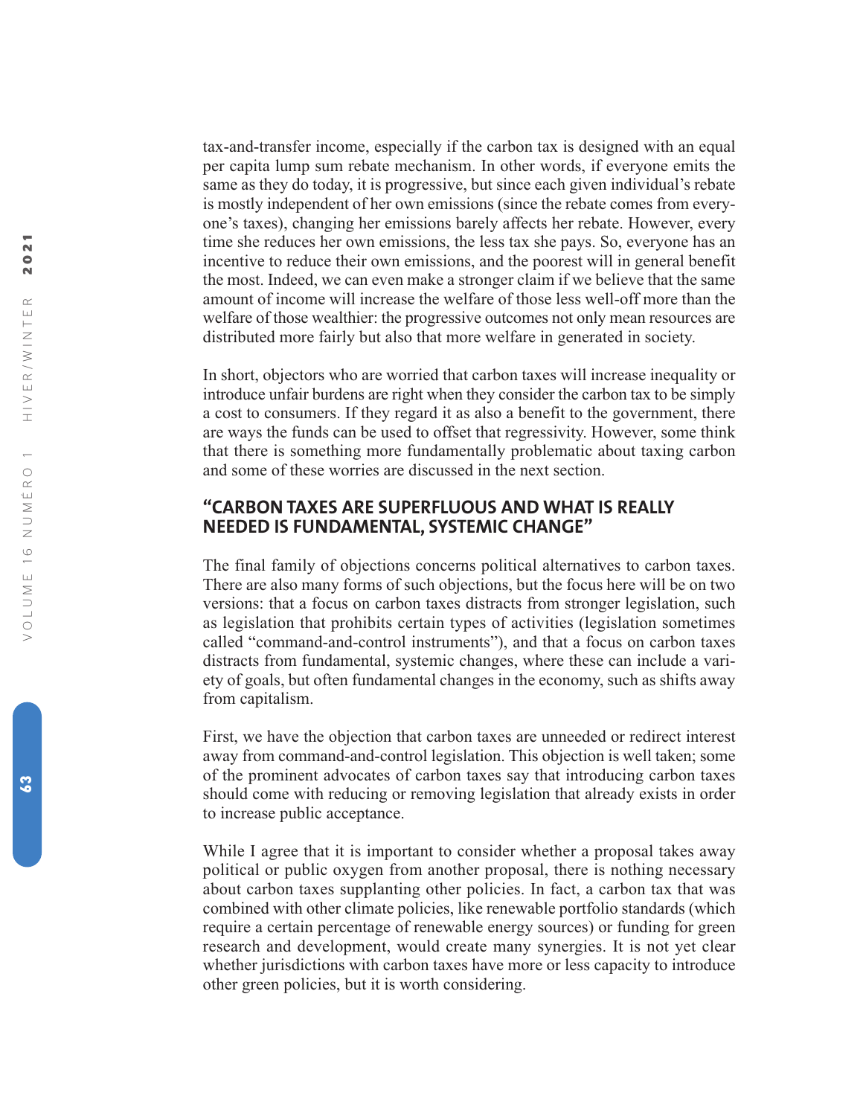tax-and-transfer income, especially if the carbon tax is designed with an equal per capita lump sum rebate mechanism. In other words, if everyone emits the same as they do today, it is progressive, but since each given individual's rebate is mostly independent of her own emissions (since the rebate comes from everyone's taxes), changing her emissions barely affects her rebate. However, every time she reduces her own emissions, the less tax she pays. So, everyone has an incentive to reduce their own emissions, and the poorest will in general benefit the most. Indeed, we can even make a stronger claim if we believe that the same amount of income will increase the welfare of those less well-off more than the welfare of those wealthier: the progressive outcomes not only mean resources are distributed more fairly but also that more welfare in generated in society.

In short, objectors who are worried that carbon taxes will increase inequality or introduce unfair burdens are right when they consider the carbon tax to be simply a cost to consumers. If they regard it as also a benefit to the government, there are ways the funds can be used to offset that regressivity. However, some think that there is something more fundamentally problematic about taxing carbon and some of these worries are discussed in the next section.

### **"CARBON TAXES ARE SUPERFLUOUS AND WHAT IS REALLY NEEDED IS FUNDAMENTAL, SYSTEMIC CHANGE"**

The final family of objections concerns political alternatives to carbon taxes. There are also many forms of such objections, but the focus here will be on two versions: that a focus on carbon taxes distracts from stronger legislation, such as legislation that prohibits certain types of activities (legislation sometimes called "command-and-control instruments"), and that a focus on carbon taxes distracts from fundamental, systemic changes, where these can include a variety of goals, but often fundamental changes in the economy, such as shifts away from capitalism.

First, we have the objection that carbon taxes are unneeded or redirect interest away from command-and-control legislation. This objection is well taken; some of the prominent advocates of carbon taxes say that introducing carbon taxes should come with reducing or removing legislation that already exists in order to increase public acceptance.

While I agree that it is important to consider whether a proposal takes away political or public oxygen from another proposal, there is nothing necessary about carbon taxes supplanting other policies. In fact, a carbon tax that was combined with other climate policies, like renewable portfolio standards (which require a certain percentage of renewable energy sources) or funding for green research and development, would create many synergies. It is not yet clear whether jurisdictions with carbon taxes have more or less capacity to introduce other green policies, but it is worth considering.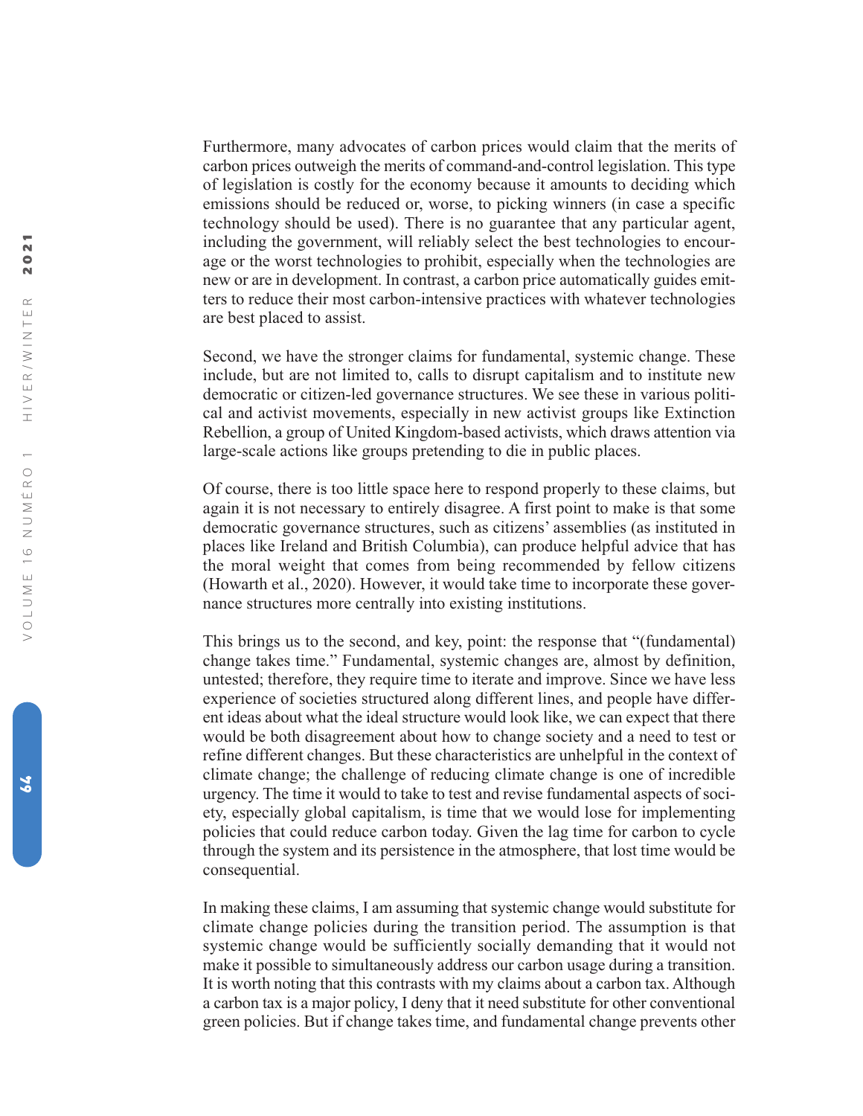Furthermore, many advocates of carbon prices would claim that the merits of carbon prices outweigh the merits of command-and-control legislation. This type of legislation is costly for the economy because it amounts to deciding which emissions should be reduced or, worse, to picking winners (in case a specific technology should be used). There is no guarantee that any particular agent, including the government, will reliably select the best technologies to encourage or the worst technologies to prohibit, especially when the technologies are new or are in development. In contrast, a carbon price automatically guides emitters to reduce their most carbon-intensive practices with whatever technologies are best placed to assist.

Second, we have the stronger claims for fundamental, systemic change. These include, but are not limited to, calls to disrupt capitalism and to institute new democratic or citizen-led governance structures. We see these in various political and activist movements, especially in new activist groups like Extinction Rebellion, a group of United Kingdom-based activists, which draws attention via large-scale actions like groups pretending to die in public places.

Of course, there is too little space here to respond properly to these claims, but again it is not necessary to entirely disagree. A first point to make is that some democratic governance structures, such as citizens' assemblies (as instituted in places like Ireland and British Columbia), can produce helpful advice that has the moral weight that comes from being recommended by fellow citizens (Howarth et al., 2020). However, it would take time to incorporate these governance structures more centrally into existing institutions.

This brings us to the second, and key, point: the response that "(fundamental) change takes time." Fundamental, systemic changes are, almost by definition, untested; therefore, they require time to iterate and improve. Since we have less experience of societies structured along different lines, and people have different ideas about what the ideal structure would look like, we can expect that there would be both disagreement about how to change society and a need to test or refine different changes. But these characteristics are unhelpful in the context of climate change; the challenge of reducing climate change is one of incredible urgency. The time it would to take to test and revise fundamental aspects of society, especially global capitalism, is time that we would lose for implementing policies that could reduce carbon today. Given the lag time for carbon to cycle through the system and its persistence in the atmosphere, that lost time would be consequential.

In making these claims, I am assuming that systemic change would substitute for climate change policies during the transition period. The assumption is that systemic change would be sufficiently socially demanding that it would not make it possible to simultaneously address our carbon usage during a transition. It is worth noting that this contrasts with my claims about a carbon tax. Although a carbon tax is a major policy, I deny that it need substitute for other conventional green policies. But if change takes time, and fundamental change prevents other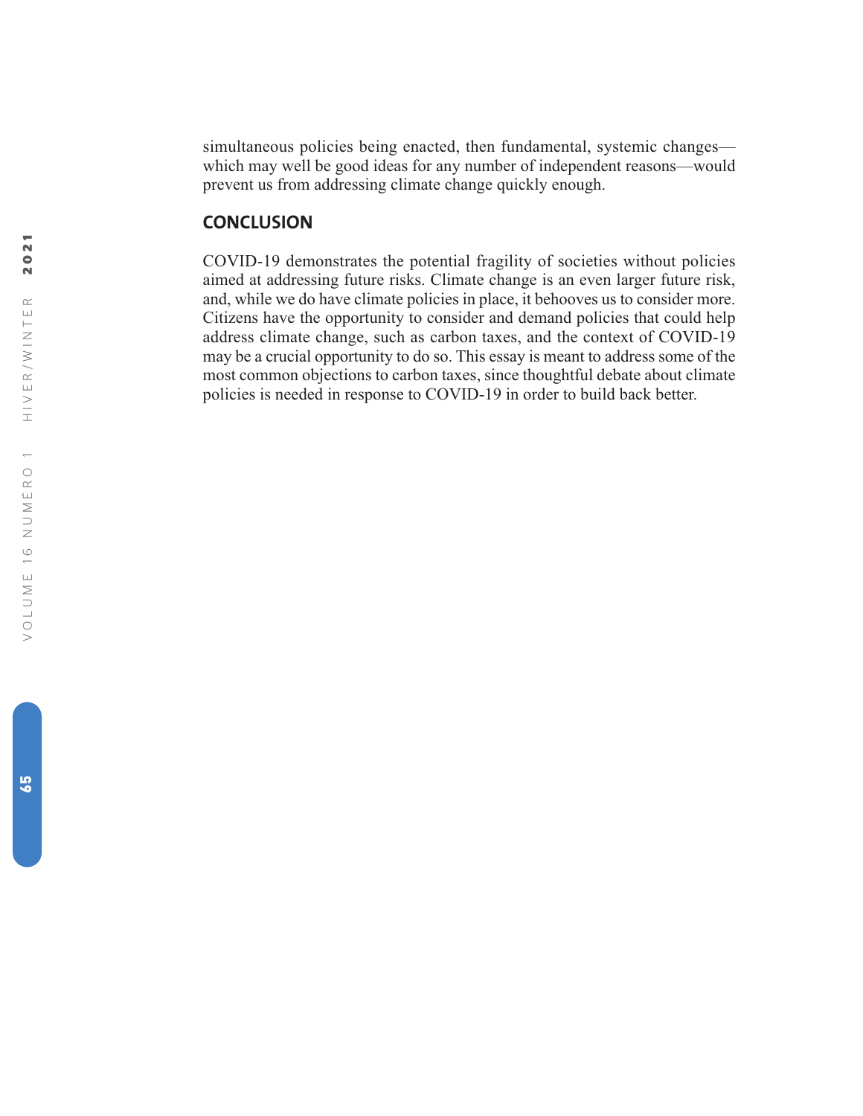simultaneous policies being enacted, then fundamental, systemic changes which may well be good ideas for any number of independent reasons—would prevent us from addressing climate change quickly enough.

#### **CONCLUSION**

COVID-19 demonstrates the potential fragility of societies without policies aimed at addressing future risks. Climate change is an even larger future risk, and, while we do have climate policies in place, it behooves us to consider more. Citizens have the opportunity to consider and demand policies that could help address climate change, such as carbon taxes, and the context of COVID-19 may be a crucial opportunity to do so. This essay is meant to address some of the most common objections to carbon taxes, since thoughtful debate about climate policies is needed in response to COVID-19 in order to build back better.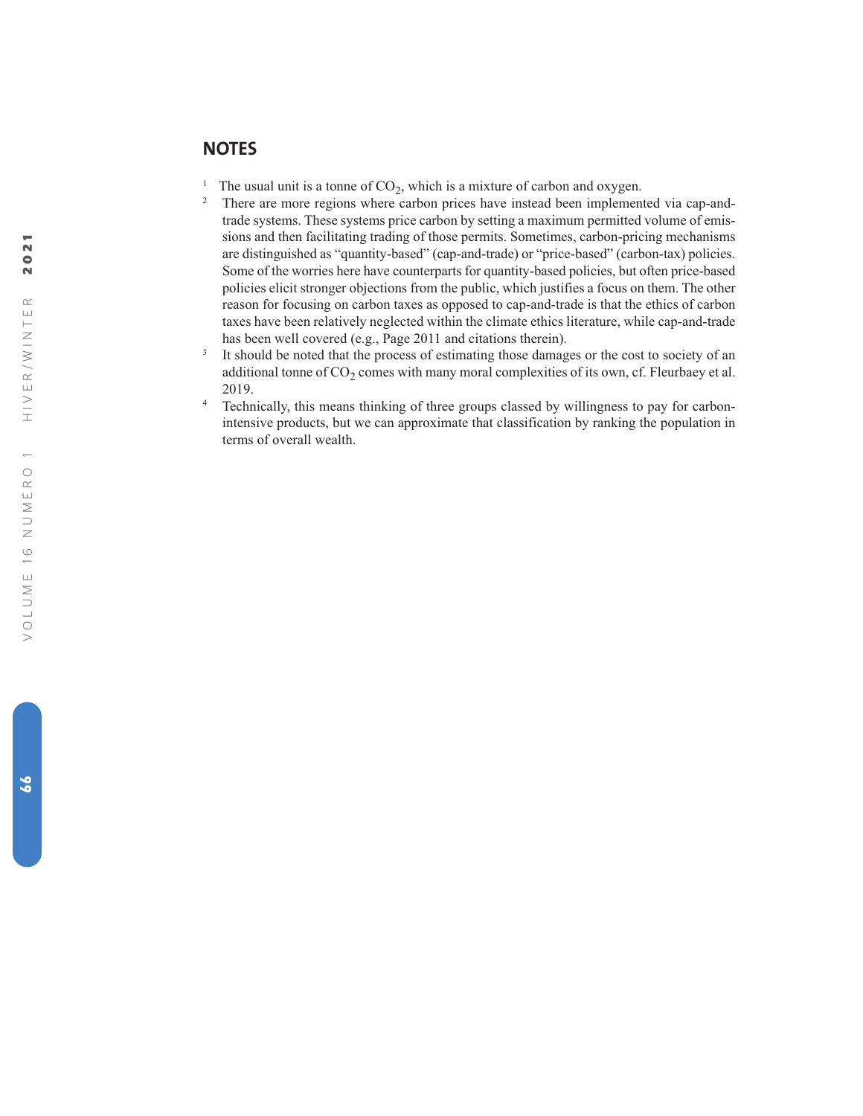### **NOTES**

- <sup>1</sup> The usual unit is a tonne of  $CO_2$ , which is a mixture of carbon and oxygen.<br><sup>2</sup> There are more regions where carbon prices have instead been implemented via cap-andtrade systems. These systems price carbon by setting a maximum permitted volume of emissions and then facilitating trading of those permits. Sometimes, carbon-pricing mechanisms are distinguished as "quantity-based" (cap-and-trade) or "price-based" (carbon-tax) policies. Some of the worries here have counterparts for quantity-based policies, but often price-based policies elicit stronger objections from the public, which justifies a focus on them. The other reason for focusing on carbon taxes as opposed to cap-and-trade is that the ethics of carbon taxes have been relatively neglected within the climate ethics literature, while cap-and-trade has been well covered (e.g., Page 2011 and citations therein).
- <sup>3</sup> It should be noted that the process of estimating those damages or the cost to society of an additional tonne of  $CO<sub>2</sub>$  comes with many moral complexities of its own, cf. Fleurbaey et al. 2019.
- <sup>4</sup> Technically, this means thinking of three groups classed by willingness to pay for carbonintensive products, but we can approximate that classification by ranking the population in terms of overall wealth.